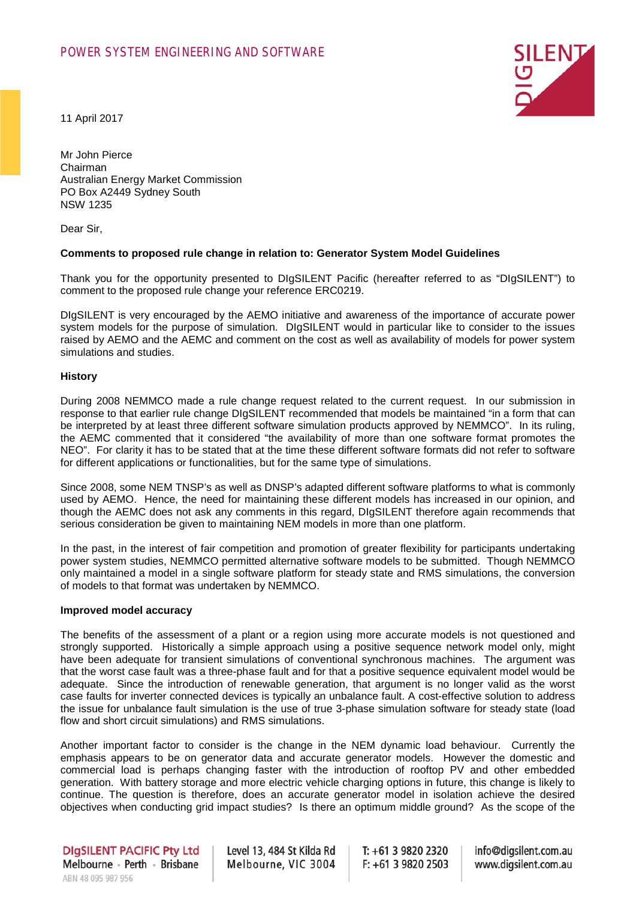

11 April 2017

Mr John Pierce Chairman Australian Energy Market Commission PO Box A2449 Sydney South NSW 1235

Dear Sir,

#### **Comments to proposed rule change in relation to: Generator System Model Guidelines**

Thank you for the opportunity presented to DIgSILENT Pacific (hereafter referred to as "DIgSILENT") to comment to the proposed rule change your reference ERC0219.

DIgSILENT is very encouraged by the AEMO initiative and awareness of the importance of accurate power system models for the purpose of simulation. DIgSILENT would in particular like to consider to the issues raised by AEMO and the AEMC and comment on the cost as well as availability of models for power system simulations and studies.

### **History**

During 2008 NEMMCO made a rule change request related to the current request. In our submission in response to that earlier rule change DIgSILENT recommended that models be maintained "in a form that can be interpreted by at least three different software simulation products approved by NEMMCO". In its ruling, the AEMC commented that it considered "the availability of more than one software format promotes the NEO". For clarity it has to be stated that at the time these different software formats did not refer to software for different applications or functionalities, but for the same type of simulations.

Since 2008, some NEM TNSP's as well as DNSP's adapted different software platforms to what is commonly used by AEMO. Hence, the need for maintaining these different models has increased in our opinion, and though the AEMC does not ask any comments in this regard, DIgSILENT therefore again recommends that serious consideration be given to maintaining NEM models in more than one platform.

In the past, in the interest of fair competition and promotion of greater flexibility for participants undertaking power system studies, NEMMCO permitted alternative software models to be submitted. Though NEMMCO only maintained a model in a single software platform for steady state and RMS simulations, the conversion of models to that format was undertaken by NEMMCO.

### **Improved model accuracy**

The benefits of the assessment of a plant or a region using more accurate models is not questioned and strongly supported. Historically a simple approach using a positive sequence network model only, might have been adequate for transient simulations of conventional synchronous machines. The argument was that the worst case fault was a three-phase fault and for that a positive sequence equivalent model would be adequate. Since the introduction of renewable generation, that argument is no longer valid as the worst case faults for inverter connected devices is typically an unbalance fault. A cost-effective solution to address the issue for unbalance fault simulation is the use of true 3-phase simulation software for steady state (load flow and short circuit simulations) and RMS simulations.

Another important factor to consider is the change in the NEM dynamic load behaviour. Currently the emphasis appears to be on generator data and accurate generator models. However the domestic and commercial load is perhaps changing faster with the introduction of rooftop PV and other embedded generation. With battery storage and more electric vehicle charging options in future, this change is likely to continue. The question is therefore, does an accurate generator model in isolation achieve the desired objectives when conducting grid impact studies? Is there an optimum middle ground? As the scope of the

Level 13, 484 St Kilda Rd Melbourne, VIC 3004

 $T: +61398202320$  $F: +61398202503$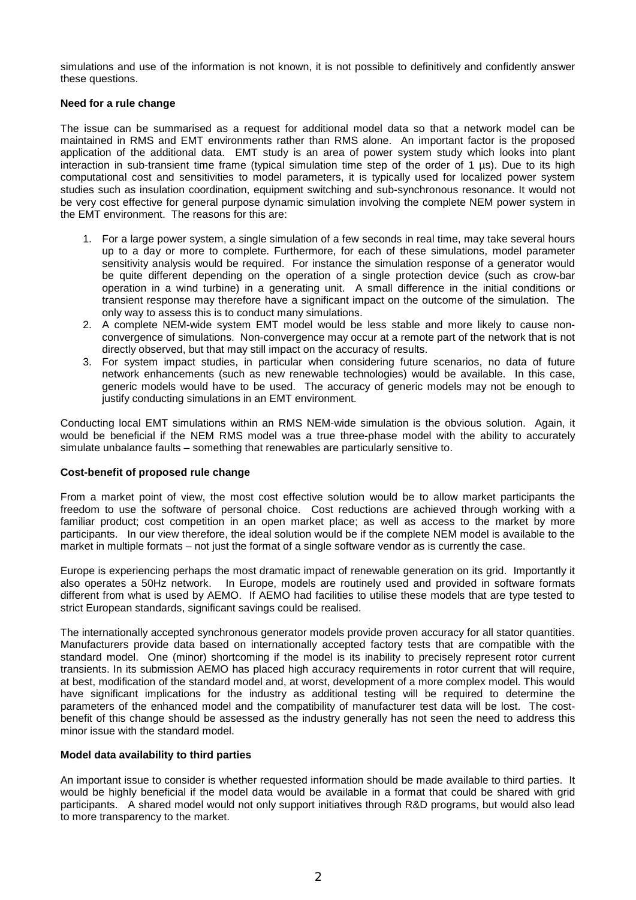simulations and use of the information is not known, it is not possible to definitively and confidently answer these questions.

## **Need for a rule change**

The issue can be summarised as a request for additional model data so that a network model can be maintained in RMS and EMT environments rather than RMS alone. An important factor is the proposed application of the additional data. EMT study is an area of power system study which looks into plant interaction in sub-transient time frame (typical simulation time step of the order of 1 µs). Due to its high computational cost and sensitivities to model parameters, it is typically used for localized power system studies such as insulation coordination, equipment switching and sub-synchronous resonance. It would not be very cost effective for general purpose dynamic simulation involving the complete NEM power system in the EMT environment. The reasons for this are:

- 1. For a large power system, a single simulation of a few seconds in real time, may take several hours up to a day or more to complete. Furthermore, for each of these simulations, model parameter sensitivity analysis would be required. For instance the simulation response of a generator would be quite different depending on the operation of a single protection device (such as crow-bar operation in a wind turbine) in a generating unit. A small difference in the initial conditions or transient response may therefore have a significant impact on the outcome of the simulation. The only way to assess this is to conduct many simulations.
- 2. A complete NEM-wide system EMT model would be less stable and more likely to cause nonconvergence of simulations. Non-convergence may occur at a remote part of the network that is not directly observed, but that may still impact on the accuracy of results.
- 3. For system impact studies, in particular when considering future scenarios, no data of future network enhancements (such as new renewable technologies) would be available. In this case, generic models would have to be used. The accuracy of generic models may not be enough to justify conducting simulations in an EMT environment.

Conducting local EMT simulations within an RMS NEM-wide simulation is the obvious solution. Again, it would be beneficial if the NEM RMS model was a true three-phase model with the ability to accurately simulate unbalance faults – something that renewables are particularly sensitive to.

# **Cost-benefit of proposed rule change**

From a market point of view, the most cost effective solution would be to allow market participants the freedom to use the software of personal choice. Cost reductions are achieved through working with a familiar product; cost competition in an open market place; as well as access to the market by more participants. In our view therefore, the ideal solution would be if the complete NEM model is available to the market in multiple formats – not just the format of a single software vendor as is currently the case.

Europe is experiencing perhaps the most dramatic impact of renewable generation on its grid. Importantly it also operates a 50Hz network. In Europe, models are routinely used and provided in software formats different from what is used by AEMO. If AEMO had facilities to utilise these models that are type tested to strict European standards, significant savings could be realised.

The internationally accepted synchronous generator models provide proven accuracy for all stator quantities. Manufacturers provide data based on internationally accepted factory tests that are compatible with the standard model. One (minor) shortcoming if the model is its inability to precisely represent rotor current transients. In its submission AEMO has placed high accuracy requirements in rotor current that will require, at best, modification of the standard model and, at worst, development of a more complex model. This would have significant implications for the industry as additional testing will be required to determine the parameters of the enhanced model and the compatibility of manufacturer test data will be lost. The costbenefit of this change should be assessed as the industry generally has not seen the need to address this minor issue with the standard model.

### **Model data availability to third parties**

An important issue to consider is whether requested information should be made available to third parties. It would be highly beneficial if the model data would be available in a format that could be shared with grid participants. A shared model would not only support initiatives through R&D programs, but would also lead to more transparency to the market.